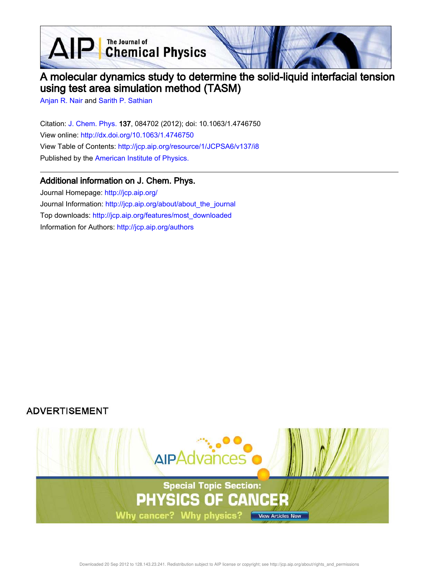**D** The Journal of<br> **Chemical Physics** 

# A molecular dynamics study to determine the solid-liquid interfacial tension using test area simulation method (TASM)

Anjan R. Nair and Sarith P. Sathian

 $\blacktriangle$ 

Citation: J. Chem. Phys. 137, 084702 (2012); doi: 10.1063/1.4746750 View online: http://dx.doi.org/10.1063/1.4746750 View Table of Contents: http://jcp.aip.org/resource/1/JCPSA6/v137/i8 Published by the American Institute of Physics.

# Additional information on J. Chem. Phys.

Journal Homepage: http://jcp.aip.org/ Journal Information: http://jcp.aip.org/about/about\_the\_journal Top downloads: http://jcp.aip.org/features/most\_downloaded Information for Authors: http://jcp.aip.org/authors

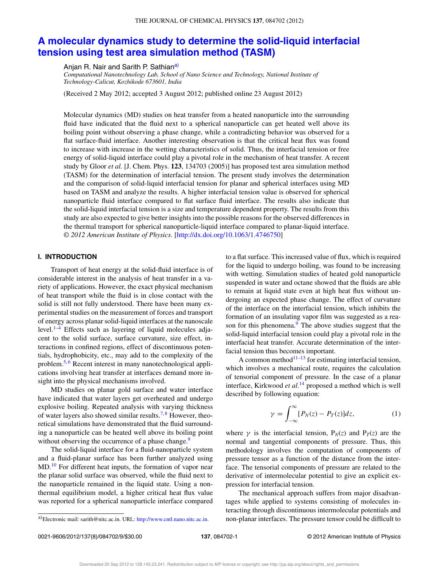#### THE JOURNAL OF CHEMICAL PHYSICS **137**, 084702 (2012)

# **A molecular dynamics study to determine the solid-liquid interfacial tension using test area simulation method (TASM)**

Anjan R. Nair and Sarith P. Sathiana)

*Computational Nanotechnology Lab, School of Nano Science and Technology, National Institute of Technology-Calicut, Kozhikode 673601, India*

(Received 2 May 2012; accepted 3 August 2012; published online 23 August 2012)

Molecular dynamics (MD) studies on heat transfer from a heated nanoparticle into the surrounding fluid have indicated that the fluid next to a spherical nanoparticle can get heated well above its boiling point without observing a phase change, while a contradicting behavior was observed for a flat surface-fluid interface. Another interesting observation is that the critical heat flux was found to increase with increase in the wetting characteristics of solid. Thus, the interfacial tension or free energy of solid-liquid interface could play a pivotal role in the mechanism of heat transfer. A recent study by Gloor *et al.* [J. Chem. Phys. **123**, 134703 (2005)] has proposed test area simulation method (TASM) for the determination of interfacial tension. The present study involves the determination and the comparison of solid-liquid interfacial tension for planar and spherical interfaces using MD based on TASM and analyze the results. A higher interfacial tension value is observed for spherical nanoparticle fluid interface compared to flat surface fluid interface. The results also indicate that the solid-liquid interfacial tension is a size and temperature dependent property. The results from this study are also expected to give better insights into the possible reasons for the observed differences in the thermal transport for spherical nanoparticle-liquid interface compared to planar-liquid interface. *© 2012 American Institute of Physics*. [http://dx.doi.org/10.1063/1.4746750]

# **I. INTRODUCTION**

Transport of heat energy at the solid-fluid interface is of considerable interest in the analysis of heat transfer in a variety of applications. However, the exact physical mechanism of heat transport while the fluid is in close contact with the solid is still not fully understood. There have been many experimental studies on the measurement of forces and transport of energy across planar solid-liquid interfaces at the nanoscale level. $1-4$  Effects such as layering of liquid molecules adjacent to the solid surface, surface curvature, size effect, interactions in confined regions, effect of discontinuous potentials, hydrophobicity, etc., may add to the complexity of the problem.<sup>5,6</sup> Recent interest in many nanotechnological applications involving heat transfer at interfaces demand more insight into the physical mechanisms involved.

MD studies on planar gold surface and water interface have indicated that water layers get overheated and undergo explosive boiling. Repeated analysis with varying thickness of water layers also showed similar results.<sup>7,8</sup> However, theoretical simulations have demonstrated that the fluid surrounding a nanoparticle can be heated well above its boiling point without observing the occurrence of a phase change.<sup>9</sup>

The solid-liquid interface for a fluid-nanoparticle system and a fluid-planar surface has been further analyzed using MD.<sup>10</sup> For different heat inputs, the formation of vapor near the planar solid surface was observed, while the fluid next to the nanoparticle remained in the liquid state. Using a nonthermal equilibrium model, a higher critical heat flux value was reported for a spherical nanoparticle interface compared with wetting. Simulation studies of heated gold nanoparticle suspended in water and octane showed that the fluids are able to remain at liquid state even at high heat flux without undergoing an expected phase change. The effect of curvature of the interface on the interfacial tension, which inhibits the formation of an insulating vapor film was suggested as a reason for this phenomena.<sup>9</sup> The above studies suggest that the solid-liquid interfacial tension could play a pivotal role in the interfacial heat transfer. Accurate determination of the interfacial tension thus becomes important. A common method $11-13$  for estimating interfacial tension,

to a flat surface. This increased value of flux, which is required for the liquid to undergo boiling, was found to be increasing

which involves a mechanical route, requires the calculation of tensorial component of pressure. In the case of a planar interface, Kirkwood *et al.*<sup>14</sup> proposed a method which is well described by following equation:

$$
\gamma = \int_{-\infty}^{\infty} [P_N(z) - P_T(z)] dz, \qquad (1)
$$

where  $\gamma$  is the interfacial tension,  $P_N(z)$  and  $P_T(z)$  are the normal and tangential components of pressure. Thus, this methodology involves the computation of components of pressure tensor as a function of the distance from the interface. The tensorial components of pressure are related to the derivative of intermolecular potential to give an explicit expression for interfacial tension.

The mechanical approach suffers from major disadvantages while applied to systems consisting of molecules interacting through discontinuous intermolecular potentials and non-planar interfaces. The pressure tensor could be difficult to

a)Electronic mail: sarith@nitc.ac.in. URL: http://www.cntl.nano.nitc.ac.in.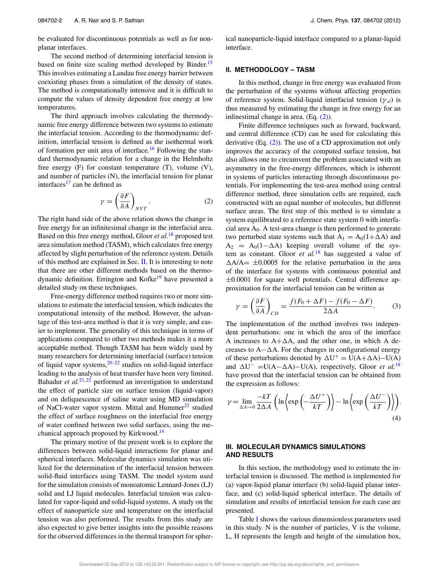be evaluated for discontinuous potentials as well as for nonplanar interfaces.

The second method of determining interfacial tension is based on finite size scaling method developed by Binder.<sup>15</sup> This involves estimating a Landau free energy barrier between coexisting phases from a simulation of the density of states. The method is computationally intensive and it is difficult to compute the values of density dependent free energy at low temperatures.

The third approach involves calculating the thermodynamic free energy difference between two systems to estimate the interfacial tension. According to the thermodynamic definition, interfacial tension is defined as the isothermal work of formation per unit area of interface.<sup>16</sup> Following the standard thermodynamic relation for a change in the Helmholtz free energy (F) for constant temperature (T), volume (V), and number of particles (N), the interfacial tension for planar interfaces $17$  can be defined as

$$
\gamma = \left(\frac{\partial F}{\partial A}\right)_{NVT}.\tag{2}
$$

The right hand side of the above relation shows the change in free energy for an infinitesimal change in the interfacial area. Based on this free energy method, Gloor *et al.*<sup>18</sup> proposed test area simulation method (TASM), which calculates free energy affected by slight perturbation of the reference system. Details of this method are explained in Sec. II. It is interesting to note that there are other different methods based on the thermodynamic definition. Errington and Kofke<sup>19</sup> have presented a detailed study on these techniques.

Free-energy difference method requires two or more simulations to estimate the interfacial tension, which indicates the computational intensity of the method. However, the advantage of this test-area method is that it is very simple, and easier to implement. The generality of this technique in terms of applications compared to other two methods makes it a more acceptable method. Though TASM has been widely used by many researchers for determining interfacial (surface) tension of liquid vapor systems,  $20-22$  studies on solid-liquid interface leading to the analysis of heat transfer have been very limited. Bahadur *et al.*<sup>21,22</sup> performed an investigation to understand the effect of particle size on surface tension (liquid-vapor) and on deliquescence of saline water using MD simulation of NaCl-water vapor system. Mittal and Hummer<sup>23</sup> studied the effect of surface roughness on the interfacial free energy of water confined between two solid surfaces, using the mechanical approach proposed by Kirkwood.<sup>14</sup>

The primary motive of the present work is to explore the differences between solid-liquid interactions for planar and spherical interfaces. Molecular dynamics simulation was utilized for the determination of the interfacial tension between solid-fluid interfaces using TASM. The model system used for the simulation consists of monoatomic Lennard-Jones (LJ) solid and LJ liquid molecules. Interfacial tension was calculated for vapor-liquid and solid-liquid systems. A study on the effect of nanoparticle size and temperature on the interfacial tension was also performed. The results from this study are also expected to give better insights into the possible reasons for the observed differences in the thermal transport for spherical nanoparticle-liquid interface compared to a planar-liquid interface.

### **II. METHODOLOGY – TASM**

In this method, change in free energy was evaluated from the perturbation of the systems without affecting properties of reference system. Solid-liquid interfacial tension (γ *sl*) is thus measured by estimating the change in free energy for an infinestimal change in area. (Eq. (2)).

Finite difference techniques such as forward, backward, and central difference (CD) can be used for calculating this derivative  $(Eq. (2))$ . The use of a CD approximation not only improves the accuracy of the computed surface tension, but also allows one to circumvent the problem associated with an asymmetry in the free-energy differences, which is inherent in systems of particles interacting through discontinuous potentials. For implementing the test-area method using central difference method, three simulation cells are required, each constructed with an equal number of molecules, but different surface areas. The first step of this method is to simulate a system equilibrated to a reference state system 0 with interfacial area A0. A test-area change is then performed to generate two perturbed state systems such that  $A_1 = A_0(1 + \Delta A)$  and  $A_2 = A_0(1-\Delta A)$  keeping overall volume of the system as constant. Gloor *et al.*<sup>18</sup> has suggested a value of  $\Delta A/A = \pm 0.0005$  for the relative perturbation in the area of the interface for systems with continuous potential and  $\pm 0.0001$  for square well potentials. Central difference approximation for the interfacial tension can be written as

$$
\gamma = \left(\frac{\partial F}{\partial A}\right)_{CD} = \frac{f(F_0 + \Delta F) - f(F_0 - \Delta F)}{2\Delta A}.\tag{3}
$$

The implementation of the method involves two independent perturbations: one in which the area of the interface A increases to  $A+\Delta A$ , and the other one, in which A decreases to  $A-\Delta A$ . For the changes in configurational energy of these perturbations denoted by  $\Delta U^+ = U(A + \Delta A) - U(A)$ and  $\Delta U^{-} = U(A - \Delta A) - U(A)$ , respectively, Gloor *et al.*<sup>18</sup> have proved that the interfacial tension can be obtained from the expression as follows:

$$
\gamma = \lim_{\Delta A \to 0} \frac{-kT}{2\Delta A} \left( \ln \left\langle \exp\left(-\frac{\Delta U^+}{kT}\right) \right\rangle - \ln \left\langle \exp\left(\frac{\Delta U^-}{kT}\right) \right\rangle \right).
$$
\n(4)

# **III. MOLECULAR DYNAMICS SIMULATIONS AND RESULTS**

In this section, the methodology used to estimate the interfacial tension is discussed. The method is implemented for (a) vapor-liquid planar interface (b) solid-liquid planar interface, and (c) solid-liquid spherical interface. The details of simulation and results of interfacial tension for each case are presented.

Table I shows the various dimensionless parameters used in this study. N is the number of particles, V is the volume, L, H represents the length and height of the simulation box,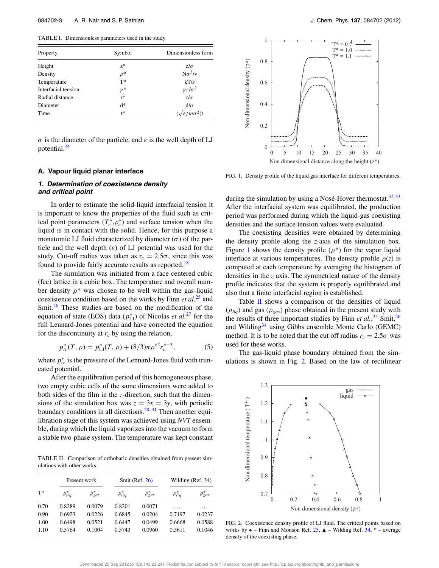TABLE I. Dimensionless parameters used in the study.

| Property            | Symbol   | Dimensionless form                |  |
|---------------------|----------|-----------------------------------|--|
| Height              | $Z^*$    | $z/\sigma$                        |  |
| Density             | $\rho^*$ | $N\sigma^3/v$                     |  |
| Temperature         | $T^*$    | $kT/\varepsilon$                  |  |
| Interfacial tension | $\nu^*$  | $\gamma \varepsilon/\sigma^2$     |  |
| Radial distance     | $r^*$    | $r/\sigma$                        |  |
| Diameter            | d*       | $d/\sigma$                        |  |
| Time                | $t^*$    | $(\sqrt{\varepsilon/m\sigma^2})t$ |  |

σ is the diameter of the particle, and  $ε$  is the well depth of LJ potential.<sup>24</sup>

# **A. Vapour liquid planar interface**

## **1. Determination of coexistence density and critical point**

In order to estimate the solid-liquid interfacial tension it is important to know the properties of the fluid such as critical point parameters  $(T_c^*, \rho_c^*)$  and surface tension when the liquid is in contact with the solid. Hence, for this purpose a monatomic LJ fluid characterized by diameter  $(\sigma)$  of the particle and the well depth  $(\varepsilon)$  of LJ potential was used for the study. Cut-off radius was taken as  $r_c = 2.5\sigma$ , since this was found to provide fairly accurate results as reported.<sup>18</sup>

The simulation was initiated from a face centered cubic (fcc) lattice in a cubic box. The temperature and overall number density  $\rho^*$  was chosen to be well within the gas-liquid coexistence condition based on the works by Finn *et al.*<sup>25</sup> and Smit.<sup>26</sup> These studies are based on the modification of the equation of state (EOS) data  $(p_{\text{LJ}}^{*})$  of Nicolas *et al.*<sup>27</sup> for the full Lennard-Jones potential and have corrected the equation for the discontinuity at  $r_c$  by using the relation,

$$
p_{tr}^*(T,\rho) = p_{\text{LJ}}^*(T,\rho) + (8/3)\pi \rho^{*2} r_c^{*-3},\tag{5}
$$

where  $p_{tr}^*$  is the pressure of the Lennard-Jones fluid with truncated potential.

After the equilibration period of this homogeneous phase, two empty cubic cells of the same dimensions were added to both sides of the film in the *z*-direction, such that the dimensions of the simulation box was  $z = 3x = 3y$ , with periodic boundary conditions in all directions.<sup>28–31</sup> Then another equilibration stage of this system was achieved using *NVT* ensemble, during which the liquid vaporizes into the vacuum to form a stable two-phase system. The temperature was kept constant

TABLE II. Comparison of orthobaric densities obtained from present simulations with other works.

|       | Present work     |                | Smit (Ref. $26$ ) |                | Wilding $(Ref. 34)$ |                  |
|-------|------------------|----------------|-------------------|----------------|---------------------|------------------|
| $T^*$ | $\rho_{liq}^{*}$ | $\rho_{gas}^*$ | $\rho_{liq}^{*}$  | $\rho_{gas}^*$ | $\rho_{liq}^{*}$    | $\rho_{gas}^{*}$ |
| 0.70  | 0.8289           | 0.0079         | 0.8201            | 0.0071         | .                   | .                |
| 0.90  | 0.6923           | 0.0226         | 0.6845            | 0.0204         | 0.7197              | 0.0237           |
| 1.00  | 0.6498           | 0.0521         | 0.6447            | 0.0499         | 0.6668              | 0.0588           |
| 1.10  | 0.5764           | 0.1004         | 0.5743            | 0.0960         | 0.5611              | 0.1046           |



FIG. 1. Density profile of the liquid gas interface for different temperatures.

during the simulation by using a Nosé-Hover thermostat. $32,33$ After the interfacial system was equilibrated, the production period was performed during which the liquid-gas coexisting densities and the surface tension values were evaluated.

The coexisting densities were obtained by determining the density profile along the *z*-axis of the simulation box. Figure 1 shows the density profile  $(\rho^*)$  for the vapor liquid interface at various temperatures. The density profile  $\rho(z)$  is computed at each temperature by averaging the histogram of densities in the *z* axis. The symmetrical nature of the density profile indicates that the system is properly equilibrated and also that a finite interfacial region is established.

Table II shows a comparison of the densities of liquid  $(\rho_{liq})$  and gas  $(\rho_{gas})$  phase obtained in the present study with the results of three important studies by Finn *et al.*<sup>25</sup> Smit,<sup>26</sup> and Wilding<sup>34</sup> using Gibbs ensemble Monte Carlo (GEMC) method. It is to be noted that the cut off radius  $r_c = 2.5\sigma$  was used for these works.

The gas-liquid phase boundary obtained from the simulations is shown in Fig. 2. Based on the law of rectilinear



FIG. 2. Coexistence density profile of LJ fluid. The critical points based on works by  $\bullet$  – Finn and Monson Ref. 25,  $\blacktriangle$  – Wilding Ref. 34,  $*$  – average density of the coexisting phase.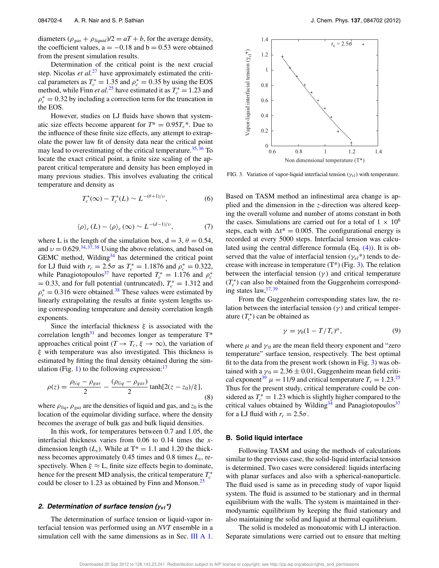diameters  $(\rho_{gas} + \rho_{liquid})/2 = aT + b$ , for the average density, the coefficient values,  $a = -0.18$  and  $b = 0.53$  were obtained from the present simulation results.

Determination of the critical point is the next crucial step. Nicolas *et al.*<sup>27</sup> have approximately estimated the critical parameters as  $T_c^* = 1.35$  and  $\rho_c^* = 0.35$  by using the EOS method, while Finn *et al.*<sup>25</sup> have estimated it as  $T_c^* = 1.23$  and  $\rho_c^* = 0.32$  by including a correction term for the truncation in the EOS.

However, studies on LJ fluids have shown that systematic size effects become apparent for  $T^* = 0.95T_c^*$ . Due to the influence of these finite size effects, any attempt to extrapolate the power law fit of density data near the critical point may lead to overestimating of the critical temperature.<sup>35, 36</sup> To locate the exact critical point, a finite size scaling of the apparent critical temperature and density has been employed in many previous studies. This involves evaluating the critical temperature and density as

$$
T_c^*(\infty) - T_c^*(L) \sim L^{-(\theta+1)/\nu},\tag{6}
$$

$$
\langle \rho \rangle_c (L) - \langle \rho \rangle_c (\infty) \sim L^{-(d-1)/\upsilon}, \tag{7}
$$

where L is the length of the simulation box,  $d = 3$ ,  $\theta = 0.54$ , and  $v = 0.629^{34,37,38}$  Using the above relations, and based on GEMC method, Wilding $34$  has determined the critical point for LJ fluid with  $r_c = 2.5\sigma$  as  $T_c^* = 1.1876$  and  $\rho_c^* = 0.322$ , while Panagiotopoulos<sup>37</sup> have reported  $T_c^* = 1.176$  and  $\rho_c^*$  $= 0.33$ , and for full potential (untruncated),  $T_c^* = 1.312$  and  $\rho_c^* = 0.316$  were obtained.<sup>38</sup> These values were estimated by linearly extrapolating the results at finite system lengths using corresponding temperature and density correlation length exponents.

Since the interfacial thickness  $\xi$  is associated with the correlation length<sup>31</sup> and becomes longer as temperature  $T^*$ approaches critical point  $(T \to T_c, \xi \to \infty)$ , the variation of ξ with temperature was also investigated. This thickness is estimated by fitting the final density obtained during the simulation (Fig. 1) to the following expression: $\frac{17}{17}$ 

$$
\rho(z) = \frac{\rho_{liq} - \rho_{gas}}{2} - \frac{(\rho_{liq} - \rho_{gas})}{2} \tanh[2(z - z_0)/\xi],
$$
\n(8)

where  $\rho_{liq}$ ,  $\rho_{gas}$  are the densities of liquid and gas, and  $z_0$  is the location of the equimolar dividing surface, where the density becomes the average of bulk gas and bulk liquid densities.

In this work, for temperatures between 0.7 and 1.05, the interfacial thickness varies from 0.06 to 0.14 times the *x*dimension length  $(L_x)$ . While at  $T^* = 1.1$  and 1.20 the thickness becomes approximately 0.45 times and 0.8 times *Lx*, respectively. When  $\xi \approx L$ , finite size effects begin to dominate, hence for the present MD analysis, the critical temperature  $T_c^*$ could be closer to 1.23 as obtained by Finn and Monson.<sup>25</sup>

#### **2. Determination of surface tension (**γ**vl\*)**

The determination of surface tension or liquid-vapor interfacial tension was performed using an *NVT* ensemble in a simulation cell with the same dimensions as in Sec. III A 1.



FIG. 3. Variation of vapor-liquid interfacial tension  $(\gamma_{vl})$  with temperature.

Based on TASM method an infinestimal area change is applied and the dimension in the *z*-direction was altered keeping the overall volume and number of atoms constant in both the cases. Simulations are carried out for a total of  $1 \times 10^6$ steps, each with  $\Delta t^* = 0.005$ . The configurational energy is recorded at every 5000 steps. Interfacial tension was calculated using the central difference formula (Eq. (4)). It is observed that the value of interfacial tension ( $\gamma_{vl}$ \*) tends to decrease with increase in temperature  $(T^*)$  (Fig. 3). The relation between the interfacial tension  $(\gamma)$  and critical temperature  $(T_c^*)$  can also be obtained from the Guggenheim corresponding states  $law$ ,  $^{17,39}$ 

From the Guggenheim corresponding states law, the relation between the interfacial tension  $(\gamma)$  and critical temperature  $(T_c^*)$  can be obtained as

$$
\gamma = \gamma_0 (1 - T/T_c)^{\mu},\tag{9}
$$

where  $\mu$  and  $\gamma_0$  are the mean field theory exponent and "zero" temperature" surface tension, respectively. The best optimal fit to the data from the present work (shown in Fig. 3) was obtained with a  $\gamma_0 = 2.36 \pm 0.01$ , Guggenheim mean field critical exponent<sup>39</sup>  $\mu = 11/9$  and critical temperature  $T_c = 1.23^{25}$ Thus for the present study, critical temperature could be considered as  $T_c^* = 1.23$  which is slightly higher compared to the critical values obtained by Wilding<sup>34</sup> and Panagiotopoulos<sup>37</sup> for a LJ fluid with  $r_c = 2.5\sigma$ .

### **B. Solid liquid interface**

Following TASM and using the methods of calculations similar to the previous case, the solid-liquid interfacial tension is determined. Two cases were considered: liquids interfacing with planar surfaces and also with a spherical-nanoparticle. The fluid used is same as in preceding study of vapor liquid system. The fluid is assumed to be stationary and in thermal equilibrium with the walls. The system is maintained in thermodynamic equilibrium by keeping the fluid stationary and also maintaining the solid and liquid at thermal equilibrium.

The solid is modeled as monoatomic with LJ interaction. Separate simulations were carried out to ensure that melting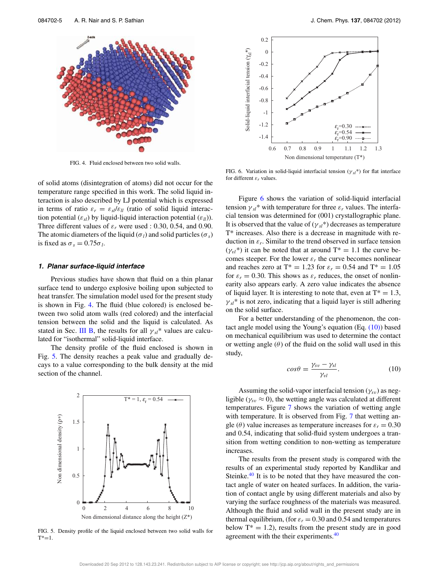

FIG. 4. Fluid enclosed between two solid walls.

of solid atoms (disintegration of atoms) did not occur for the temperature range specified in this work. The solid liquid interaction is also described by LJ potential which is expressed in terms of ratio  $\varepsilon_r = \varepsilon_{sl} / \varepsilon_{ll}$  (ratio of solid liquid interaction potential  $(\varepsilon_{sl})$  by liquid-liquid interaction potential  $(\varepsilon_{ll})$ ). Three different values of  $\varepsilon_r$  were used : 0.30, 0.54, and 0.90. The atomic diameters of the liquid ( $\sigma_l$ ) and solid particles ( $\sigma_s$ ) is fixed as  $\sigma_s = 0.75\sigma_l$ .

#### **1. Planar surface-liquid interface**

Previous studies have shown that fluid on a thin planar surface tend to undergo explosive boiling upon subjected to heat transfer. The simulation model used for the present study is shown in Fig. 4. The fluid (blue colored) is enclosed between two solid atom walls (red colored) and the interfacial tension between the solid and the liquid is calculated. As stated in Sec. III B, the results for all  $\gamma_{sl}^*$  values are calculated for "isothermal" solid-liquid interface.

The density profile of the fluid enclosed is shown in Fig. 5. The density reaches a peak value and gradually decays to a value corresponding to the bulk density at the mid section of the channel.



FIG. 5. Density profile of the liquid enclosed between two solid walls for  $T^* = 1$ .



FIG. 6. Variation in solid-liquid interfacial tension  $(\gamma_{sl}^*)$  for flat interface for different ε*<sup>r</sup>* values.

Figure 6 shows the variation of solid-liquid interfacial tension  $\gamma_{sl}$ <sup>\*</sup> with temperature for three  $\varepsilon_r$  values. The interfacial tension was determined for (001) crystallographic plane. It is observed that the value of  $(\gamma_{sl}^*)$  decreases as temperature T\* increases. Also there is a decrease in magnitude with reduction in  $\varepsilon_r$ . Similar to the trend observed in surface tension  $(\gamma_{vl}^*)$  it can be noted that at around  $T^* = 1.1$  the curve becomes steeper. For the lower  $\varepsilon_r$  the curve becomes nonlinear and reaches zero at T<sup>\*</sup> = 1.23 for  $\varepsilon_r = 0.54$  and T<sup>\*</sup> = 1.05 for  $\varepsilon_r = 0.30$ . This shows as  $\varepsilon_r$  reduces, the onset of nonlinearity also appears early. A zero value indicates the absence of liquid layer. It is interesting to note that, even at  $T^* = 1.3$ ,  $\gamma_{sl}$ <sup>\*</sup> is not zero, indicating that a liquid layer is still adhering on the solid surface.

For a better understanding of the phenomenon, the contact angle model using the Young's equation (Eq. (10)) based on mechanical equilibrium was used to determine the contact or wetting angle  $(\theta)$  of the fluid on the solid wall used in this study,

$$
cos\theta = \frac{\gamma_{sv} - \gamma_{sl}}{\gamma_{vl}}.
$$
 (10)

Assuming the solid-vapor interfacial tension ( $\gamma_{sv}$ ) as negligible ( $\gamma_{sv} \approx 0$ ), the wetting angle was calculated at different temperatures. Figure 7 shows the variation of wetting angle with temperature. It is observed from Fig. 7 that wetting angle ( $\theta$ ) value increases as temperature increases for  $\varepsilon_r = 0.30$ and 0.54, indicating that solid-fluid system undergoes a transition from wetting condition to non-wetting as temperature increases.

The results from the present study is compared with the results of an experimental study reported by Kandlikar and Steinke. $40$  It is to be noted that they have measured the contact angle of water on heated surfaces. In addition, the variation of contact angle by using different materials and also by varying the surface roughness of the materials was measured. Although the fluid and solid wall in the present study are in thermal equilibrium, (for  $\varepsilon_r = 0.30$  and 0.54 and temperatures below  $T^* = 1.2$ , results from the present study are in good agreement with the their experiments.<sup>40</sup>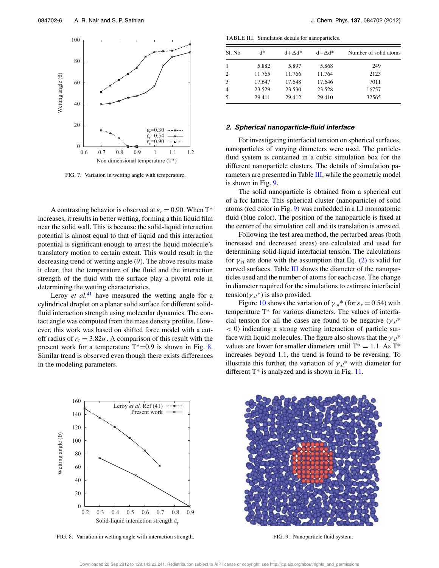

FIG. 7. Variation in wetting angle with temperature.

A contrasting behavior is observed at  $\varepsilon_r = 0.90$ . When T\* increases, it results in better wetting, forming a thin liquid film near the solid wall. This is because the solid-liquid interaction potential is almost equal to that of liquid and this interaction potential is significant enough to arrest the liquid molecule's translatory motion to certain extent. This would result in the decreasing trend of wetting angle  $(\theta)$ . The above results make it clear, that the temperature of the fluid and the interaction strength of the fluid with the surface play a pivotal role in determining the wetting characteristics.

Leroy *et al.*<sup>41</sup> have measured the wetting angle for a cylindrical droplet on a planar solid surface for different solidfluid interaction strength using molecular dynamics. The contact angle was computed from the mass density profiles. However, this work was based on shifted force model with a cutoff radius of  $r_c = 3.82\sigma$ . A comparison of this result with the present work for a temperature  $T^*=0.9$  is shown in Fig. 8. Similar trend is observed even though there exists differences in the modeling parameters.

TABLE III. Simulation details for nanoparticles.

| Sl. No         | $d^*$  | $d + \Delta d^*$ | $d - \Delta d^*$ | Number of solid atoms |
|----------------|--------|------------------|------------------|-----------------------|
| -1             | 5.882  | 5.897            | 5.868            | 249                   |
| $\overline{c}$ | 11.765 | 11.766           | 11.764           | 2123                  |
| 3              | 17.647 | 17.648           | 17.646           | 7011                  |
| $\overline{4}$ | 23.529 | 23.530           | 23.528           | 16757                 |
| 5              | 29.411 | 29.412           | 29.410           | 32565                 |

#### **2. Spherical nanoparticle-fluid interface**

For investigating interfacial tension on spherical surfaces, nanoparticles of varying diameters were used. The particlefluid system is contained in a cubic simulation box for the different nanoparticle clusters. The details of simulation parameters are presented in Table III, while the geometric model is shown in Fig. 9.

The solid nanoparticle is obtained from a spherical cut of a fcc lattice. This spherical cluster (nanoparticle) of solid atoms (red color in Fig. 9) was embedded in a LJ monoatomic fluid (blue color). The position of the nanoparticle is fixed at the center of the simulation cell and its translation is arrested.

Following the test area method, the perturbed areas (both increased and decreased areas) are calculated and used for determining solid-liquid interfacial tension. The calculations for  $\gamma_{sl}$  are done with the assumption that Eq. (2) is valid for curved surfaces. Table III shows the diameter of the nanoparticles used and the number of atoms for each case. The change in diameter required for the simulations to estimate interfacial tension( $\gamma_{sl}$ <sup>\*</sup>) is also provided.

Figure 10 shows the variation of  $\gamma_{sl}$ <sup>\*</sup> (for  $\varepsilon_r = 0.54$ ) with temperature T\* for various diameters. The values of interfacial tension for all the cases are found to be negative  $(\gamma_{sl}^*)$ < 0) indicating a strong wetting interaction of particle surface with liquid molecules. The figure also shows that the  $\gamma_{sl}^*$ values are lower for smaller diameters until  $T^* = 1.1$ . As  $T^*$ increases beyond 1.1, the trend is found to be reversing. To illustrate this further, the variation of  $\gamma_{sl}$ <sup>\*</sup> with diameter for different T<sup>\*</sup> is analyzed and is shown in Fig. 11.



FIG. 8. Variation in wetting angle with interaction strength.



FIG. 9. Nanoparticle fluid system.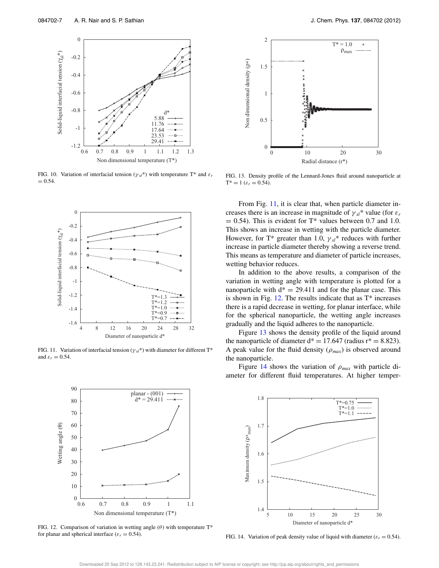

FIG. 10. Variation of interfacial tension ( $\gamma_{sl}$ \*) with temperature T\* and  $\varepsilon_r$  $= 0.54.$ 



FIG. 11. Variation of interfacial tension ( $\gamma_{sl}$ <sup>\*</sup>) with diameter for different T<sup>\*</sup> and  $\varepsilon_r = 0.54$ .



FIG. 12. Comparison of variation in wetting angle  $(\theta)$  with temperature T<sup>\*</sup> for planar and spherical interface ( $\varepsilon_r = 0.54$ ).



FIG. 13. Density profile of the Lennard-Jones fluid around nanoparticle at  $T^* = 1$  ( $\varepsilon_r = 0.54$ ).

From Fig. 11, it is clear that, when particle diameter increases there is an increase in magnitude of  $\gamma_{sl}$ <sup>\*</sup> value (for  $\varepsilon_r$ )  $= 0.54$ ). This is evident for T<sup>\*</sup> values between 0.7 and 1.0. This shows an increase in wetting with the particle diameter. However, for T<sup>\*</sup> greater than 1.0,  $\gamma_{sl}$ <sup>\*</sup> reduces with further increase in particle diameter thereby showing a reverse trend. This means as temperature and diameter of particle increases, wetting behavior reduces.

In addition to the above results, a comparison of the variation in wetting angle with temperature is plotted for a nanoparticle with  $d^* = 29.411$  and for the planar case. This is shown in Fig.  $12$ . The results indicate that as  $T^*$  increases there is a rapid decrease in wetting, for planar interface, while for the spherical nanoparticle, the wetting angle increases gradually and the liquid adheres to the nanoparticle.

Figure 13 shows the density profile of the liquid around the nanoparticle of diameter  $d^* = 17.647$  (radius  $r^* = 8.823$ ). A peak value for the fluid density  $(\rho_{max})$  is observed around the nanoparticle.

Figure 14 shows the variation of ρ*max* with particle diameter for different fluid temperatures. At higher temper-



FIG. 14. Variation of peak density value of liquid with diameter ( $\varepsilon_r = 0.54$ ).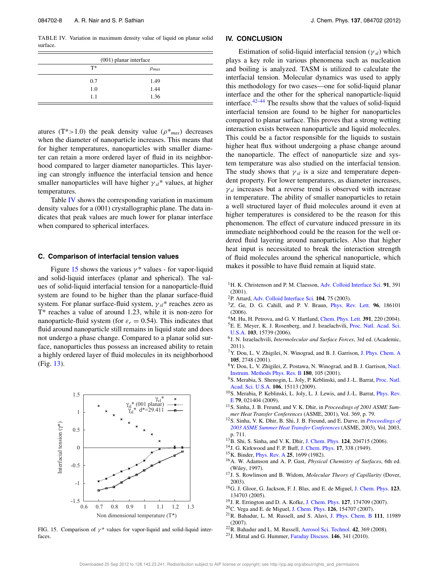TABLE IV. Variation in maximum density value of liquid on planar solid surface.

| $(001)$ planar interface |              |  |
|--------------------------|--------------|--|
| $T^*$                    | $\rho_{max}$ |  |
| 0.7                      | 1.49         |  |
| 1.0                      | 1.44         |  |
| 1.1                      | 1.36         |  |

atures (T<sup>\*</sup>>1.0) the peak density value ( $\rho$ <sup>\*</sup><sub>max</sub>) decreases when the diameter of nanoparticle increases. This means that for higher temperatures, nanoparticles with smaller diameter can retain a more ordered layer of fluid in its neighborhood compared to larger diameter nanoparticles. This layering can strongly influence the interfacial tension and hence smaller nanoparticles will have higher  $\gamma_{sl}^*$  values, at higher temperatures.

Table IV shows the corresponding variation in maximum density values for a (001) crystallographic plane. The data indicates that peak values are much lower for planar interface when compared to spherical interfaces.

#### **C. Comparison of interfacial tension values**

Figure 15 shows the various  $\gamma^*$  values - for vapor-liquid and solid-liquid interfaces (planar and spherical). The values of solid-liquid interfacial tension for a nanoparticle-fluid system are found to be higher than the planar surface-fluid system. For planar surface-fluid system, γ *sl*\* reaches zero as T\* reaches a value of around 1.23, while it is non-zero for nanoparticle-fluid system (for  $\varepsilon_r = 0.54$ ). This indicates that fluid around nanoparticle still remains in liquid state and does not undergo a phase change. Compared to a planar solid surface, nanoparticles thus possess an increased ability to retain a highly ordered layer of fluid molecules in its neighborhood (Fig. 13).



FIG. 15. Comparison of  $\gamma^*$  values for vapor-liquid and solid-liquid interfaces.

#### **IV. CONCLUSION**

Estimation of solid-liquid interfacial tension (γ *sl*) which plays a key role in various phenomena such as nucleation and boiling is analyzed. TASM is utilized to calculate the interfacial tension. Molecular dynamics was used to apply this methodology for two cases—one for solid-liquid planar interface and the other for the spherical nanoparticle-liquid interface. $42-44$  The results show that the values of solid-liquid interfacial tension are found to be higher for nanoparticles compared to planar surface. This proves that a strong wetting interaction exists between nanoparticle and liquid molecules. This could be a factor responsible for the liquids to sustain higher heat flux without undergoing a phase change around the nanoparticle. The effect of nanoparticle size and system temperature was also studied on the interfacial tension. The study shows that  $\gamma_{sl}$  is a size and temperature dependent property. For lower temperatures, as diameter increases,  $\gamma_{sl}$  increases but a reverse trend is observed with increase in temperature. The ability of smaller nanoparticles to retain a well structured layer of fluid molecules around it even at higher temperatures is considered to be the reason for this phenomenon. The effect of curvature induced pressure in its immediate neighborhood could be the reason for the well ordered fluid layering around nanoparticles. Also that higher heat input is necessitated to break the interaction strength of fluid molecules around the spherical nanoparticle, which makes it possible to have fluid remain at liquid state.

- <sup>1</sup>H. K. Christenson and P. M. Claesson, Adv. Colloid Interface Sci. **91**, 391 (2001).
- <sup>2</sup>P. Attard, Adv. Colloid Interface Sci. **104**, 75 (2003).
- <sup>3</sup>Z. Ge, D. G. Cahill, and P. V. Braun, Phys. Rev. Lett. **96**, 186101 (2006).
- <sup>4</sup>M. Hu, H. Petrova, and G. V. Hartland, Chem. Phys. Lett. **391**, 220 (2004).
- <sup>5</sup>E. E. Meyer, K. J. Rosenberg, and J. Israelachvili, Proc. Natl. Acad. Sci. U.S.A. **103**, 15739 (2006).
- 6 J. N. Israelachvili, *Intermolecular and Surface Forces*, 3rd ed. (Academic, 2011).
- <sup>7</sup>Y. Dou, L. V. Zhigilei, N. Winograd, and B. J. Garrison, J. Phys. Chem. A **105**, 2748 (2001).
- <sup>8</sup>Y. Dou, L. V. Zhigilei, Z. Postawa, N. Winograd, and B. J. Garrison, Nucl. Instrum. Methods Phys. Res. B **180**, 105 (2001).
- <sup>9</sup>S. Merabia, S. Shenogin, L. Joly, P. Keblinski, and J.-L. Barrat, Proc. Natl. Acad. Sci. U.S.A. **106**, 15113 (2009).
- <sup>10</sup>S. Merabia, P. Keblinski, L. Joly, L. J. Lewis, and J.-L. Barrat, *Phys. Rev.* E **79**, 021404 (2009).
- <sup>11</sup>S. Sinha, J. B. Freund, and V. K. Dhir, in *Proceedings of 2001 ASME Summer Heat Transfer Conferences* (ASME, 2001), Vol. 369, p. 79.
- <sup>12</sup>S. Sinha, V. K. Dhir, B. Shi, J. B. Freund, and E. Darve, in *Proceedings of 2003 ASME Summer Heat Transfer Conferences* (ASME, 2003), Vol. 2003, p. 711.
- <sup>13</sup>B. Shi, S. Sinha, and V. K. Dhir, J. Chem. Phys. **124**, 204715 (2006).
- <sup>14</sup>J. G. Kirkwood and F. P. Buff, J. Chem. Phys. **17**, 338 (1949).
- <sup>15</sup>K. Binder, Phys. Rev. A **25**, 1699 (1982).
- <sup>16</sup>A. W. Adamson and A. P. Gast, *Physical Chemistry of Surfaces*, 6th ed. (Wiley, 1997).
- <sup>17</sup>J. S. Rowlinson and B. Widom, *Molecular Theory of Capillarity* (Dover, 2003).
- <sup>18</sup>G. J. Gloor, G. Jackson, F. J. Blas, and E. de Miguel, J. Chem. Phys. **123**, 134703 (2005).
- <sup>19</sup>J. R. Errington and D. A. Kofke, J. Chem. Phys. **127**, 174709 (2007).
- <sup>20</sup>C. Vega and E. de Miguel, J. Chem. Phys. **126**, 154707 (2007).
- <sup>21</sup>R. Bahadur, L. M. Russell, and S. Alavi, J. Phys. Chem. B **111**, 11989 (2007).
- <sup>22</sup>R. Bahadur and L. M. Russell, Aerosol Sci. Technol. **42**, 369 (2008).
- <sup>23</sup>J. Mittal and G. Hummer, Faraday Discuss. **146**, 341 (2010).